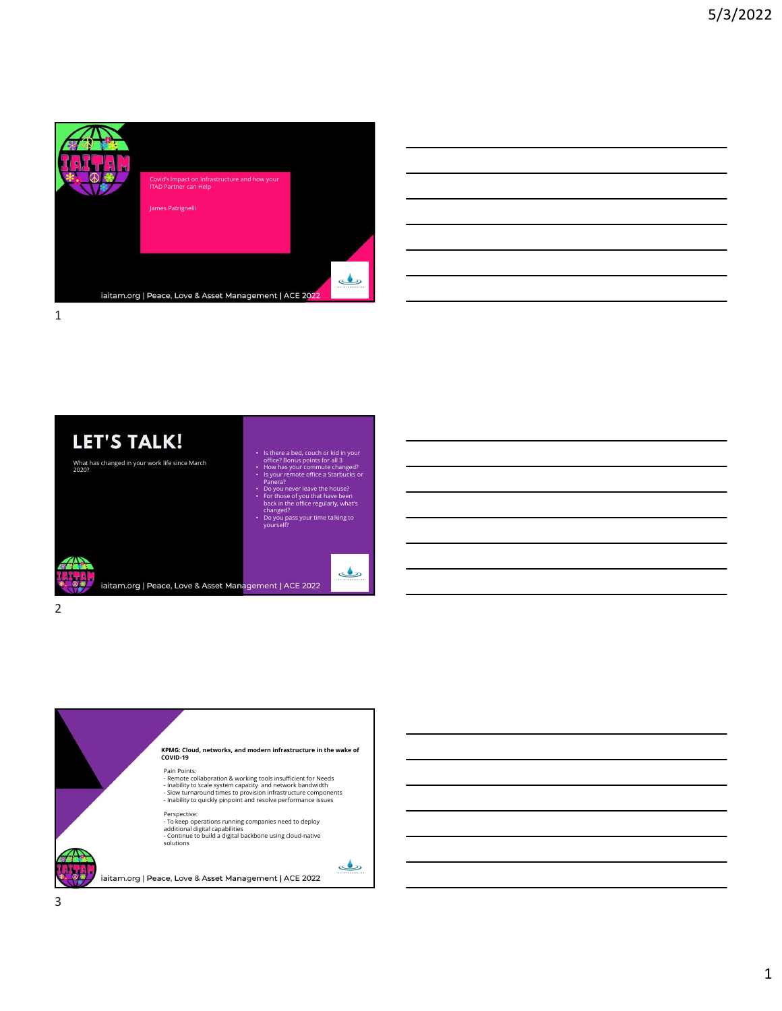

| <u> 1989 - Johann Stoff, amerikansk politiker (d. 1989)</u>                                                          |  |  |
|----------------------------------------------------------------------------------------------------------------------|--|--|
|                                                                                                                      |  |  |
| <u> 1989 - Andrea Santa Andrea Andrea Andrea Andrea Andrea Andrea Andrea Andrea Andrea Andrea Andrea Andrea Andr</u> |  |  |
| <u> 1989 - Andrea Santa Andrea Andrea Andrea Andrea Andrea Andrea Andrea Andrea Andrea Andrea Andrea Andrea Andr</u> |  |  |
| ,我们也不会有什么?""我们的,我们也不会有什么?""我们的,我们也不会有什么?""我们的,我们也不会有什么?""我们的,我们也不会有什么?""我们的,我们也不                                     |  |  |



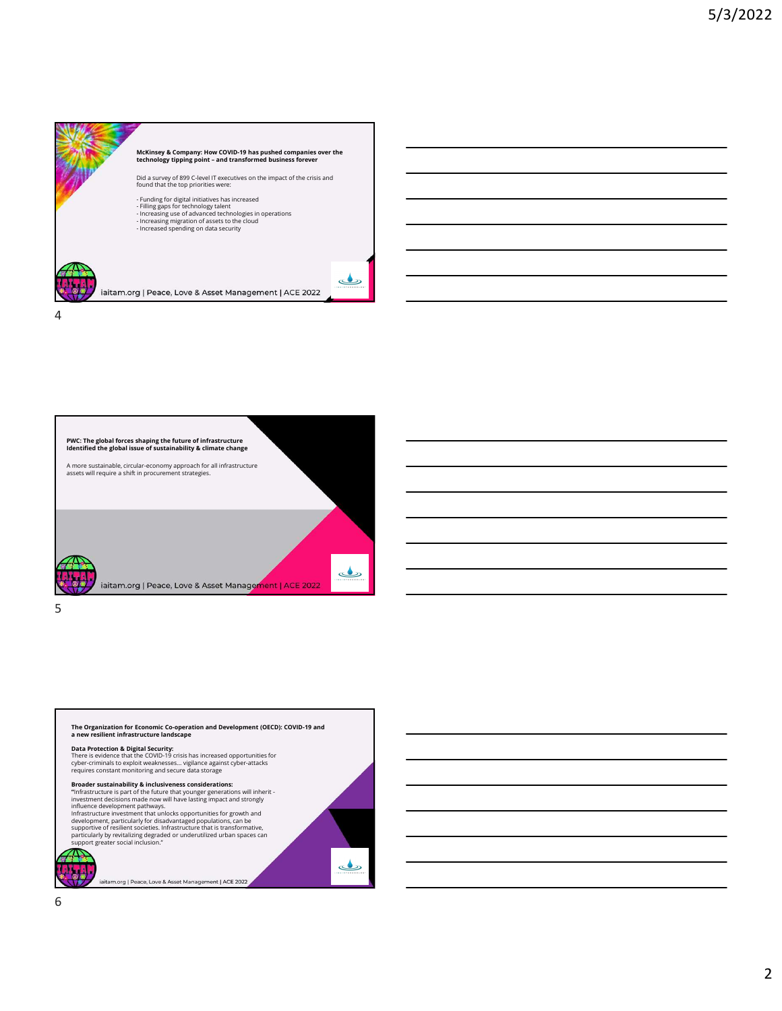







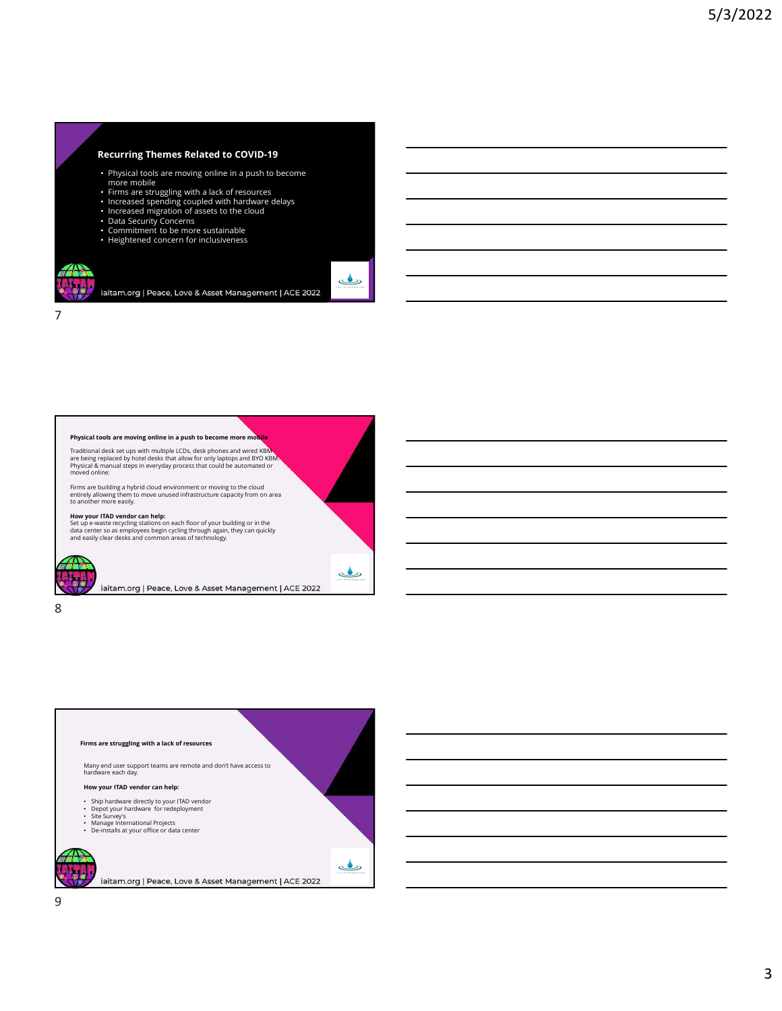## Recurring Themes Related to COVID-19

• Physical tools are moving online in a push to become

iaitam.org | Peace, Love & Asset Management | ACE 2022

ک

- 
- more mobile Firms are struggling with a lack of resources Increased spending coupled with hardware delays Increased migration of assets to the cloud
- 

7

- 
- Data Security Concerns Commitment to be more sustainable Heightened concern for inclusiveness
- 



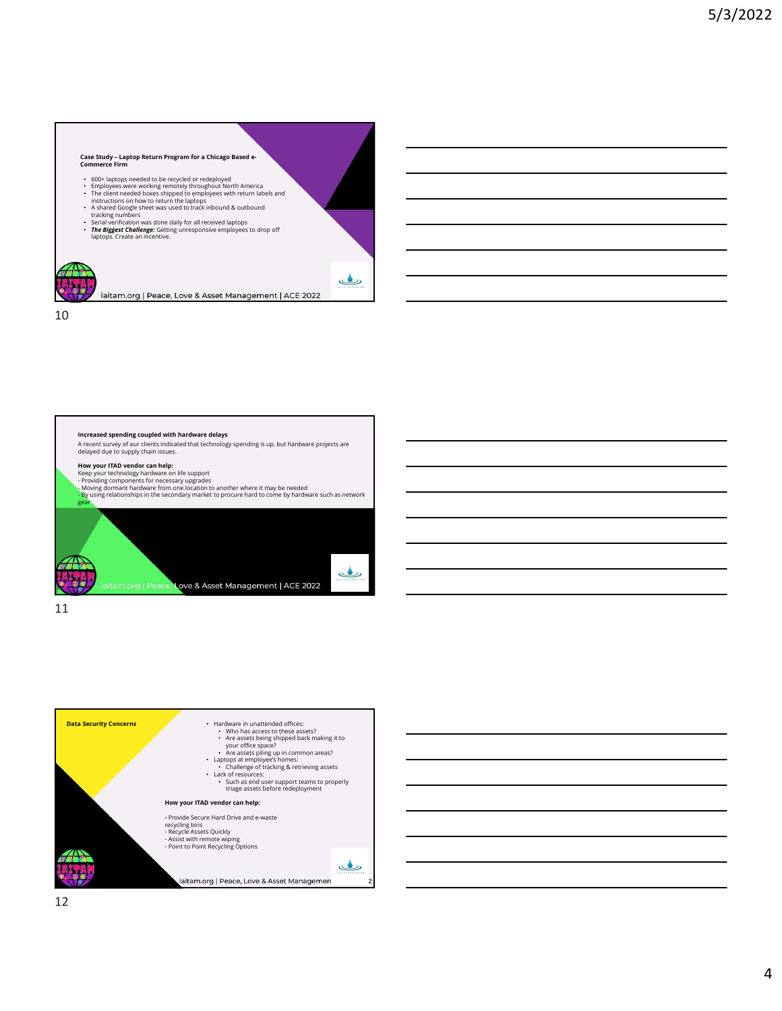- 
- 600+ laptops needed to be recycled or redeployed<br>• Employees were working remotely throughout North America<br>• The client needed boxes shipped to employees with return labels and instructions on how to return the laptops<br>
- 
- 
- Case Study Laptop Return Program for a Chicago Based e-<br>
Commerce Firm<br>
 Contra Laptop a needed to be necycled or redeployed<br>
 Commerce meeted boxes (shoed) a neeglobul North America<br>
 Empleyers meeted boxes (shoed) a A shared Google sheet was used to track inbound & outbound<br>
The Biggest Challenge: Getting unresponsive employees to drop of<br>
The Biggest Challenge: Getting unresponsive employees to drop off<br>
aptops. Create an incentive.
- 

10





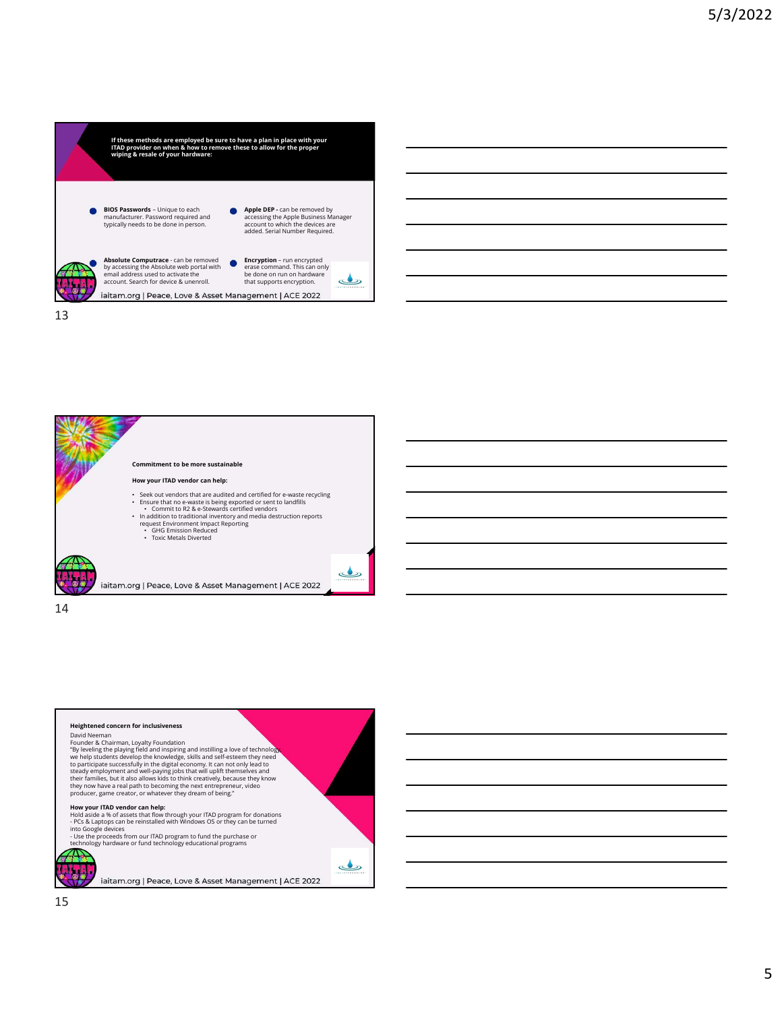

13